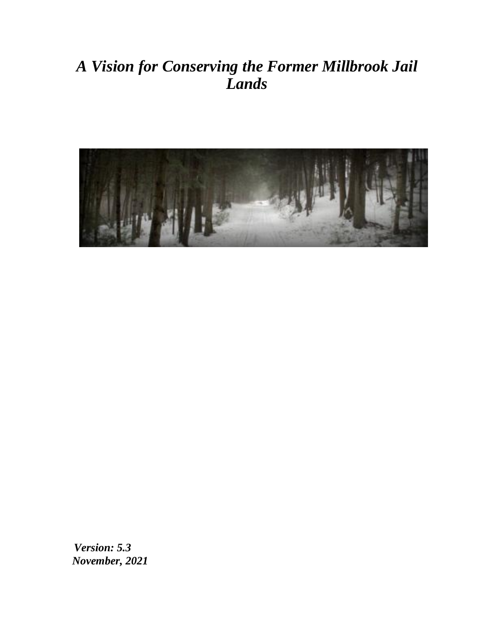# *A Vision for Conserving the Former Millbrook Jail Lands*



*Version: 5.3 November, 2021*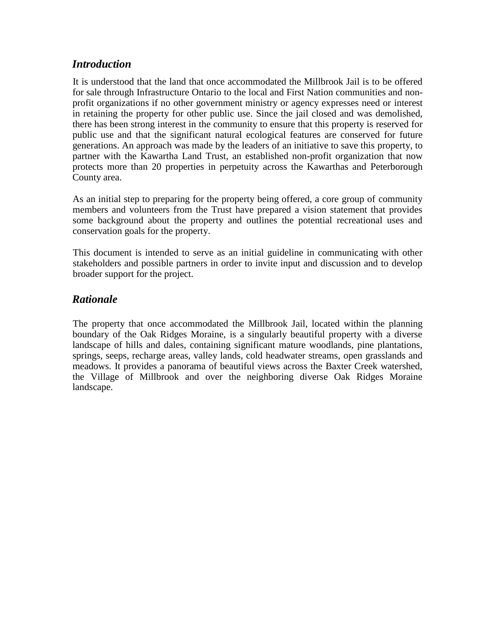#### *Introduction*

It is understood that the land that once accommodated the Millbrook Jail is to be offered for sale through Infrastructure Ontario to the local and First Nation communities and nonprofit organizations if no other government ministry or agency expresses need or interest in retaining the property for other public use. Since the jail closed and was demolished, there has been strong interest in the community to ensure that this property is reserved for public use and that the significant natural ecological features are conserved for future generations. An approach was made by the leaders of an initiative to save this property, to partner with the Kawartha Land Trust, an established non-profit organization that now protects more than 20 properties in perpetuity across the Kawarthas and Peterborough County area.

As an initial step to preparing for the property being offered, a core group of community members and volunteers from the Trust have prepared a vision statement that provides some background about the property and outlines the potential recreational uses and conservation goals for the property.

This document is intended to serve as an initial guideline in communicating with other stakeholders and possible partners in order to invite input and discussion and to develop broader support for the project.

# *Rationale*

The property that once accommodated the Millbrook Jail, located within the planning boundary of the Oak Ridges Moraine, is a singularly beautiful property with a diverse landscape of hills and dales, containing significant mature woodlands, pine plantations, springs, seeps, recharge areas, valley lands, cold headwater streams, open grasslands and meadows. It provides a panorama of beautiful views across the Baxter Creek watershed, the Village of Millbrook and over the neighboring diverse Oak Ridges Moraine landscape.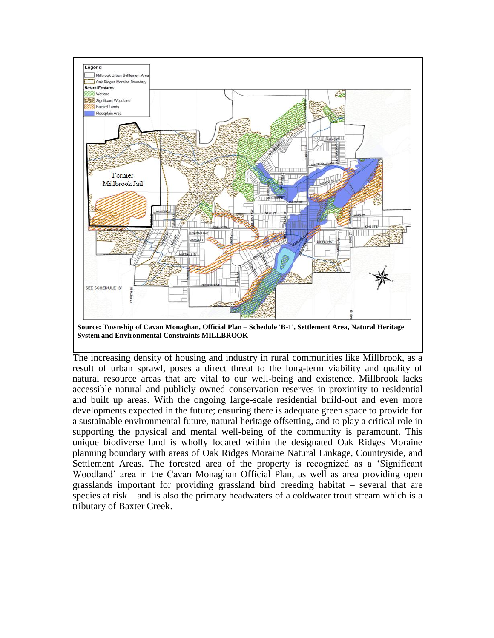

**Source: Township of Cavan Monaghan, Official Plan – Schedule 'B-1', Settlement Area, Natural Heritage System and Environmental Constraints MILLBROOK**

The increasing density of housing and industry in rural communities like Millbrook, as a result of urban sprawl, poses a direct threat to the long-term viability and quality of natural resource areas that are vital to our well-being and existence. Millbrook lacks accessible natural and publicly owned conservation reserves in proximity to residential and built up areas. With the ongoing large-scale residential build-out and even more developments expected in the future; ensuring there is adequate green space to provide for a sustainable environmental future, natural heritage offsetting, and to play a critical role in supporting the physical and mental well-being of the community is paramount. This unique biodiverse land is wholly located within the designated Oak Ridges Moraine planning boundary with areas of Oak Ridges Moraine Natural Linkage, Countryside, and Settlement Areas. The forested area of the property is recognized as a 'Significant Woodland' area in the Cavan Monaghan Official Plan, as well as area providing open grasslands important for providing grassland bird breeding habitat – several that are species at risk – and is also the primary headwaters of a coldwater trout stream which is a tributary of Baxter Creek.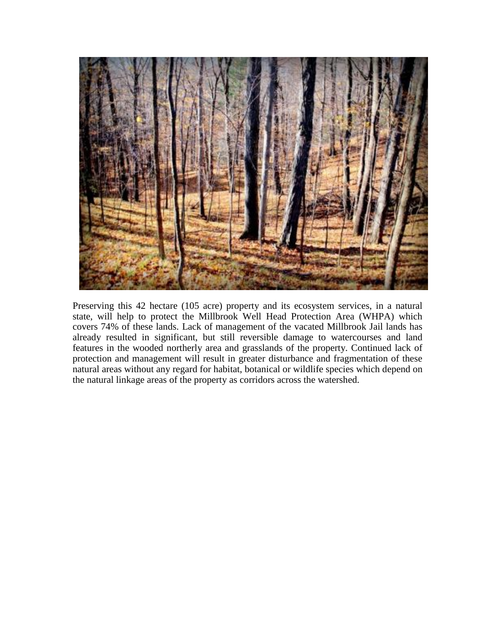

Preserving this 42 hectare (105 acre) property and its ecosystem services, in a natural state, will help to protect the Millbrook Well Head Protection Area (WHPA) which covers 74% of these lands. Lack of management of the vacated Millbrook Jail lands has already resulted in significant, but still reversible damage to watercourses and land features in the wooded northerly area and grasslands of the property. Continued lack of protection and management will result in greater disturbance and fragmentation of these natural areas without any regard for habitat, botanical or wildlife species which depend on the natural linkage areas of the property as corridors across the watershed.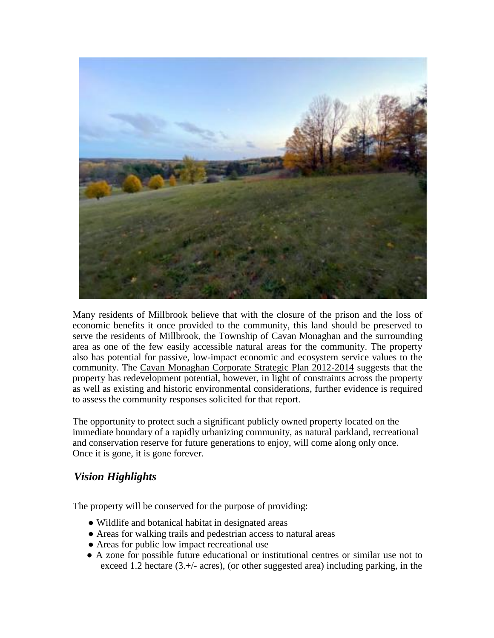

Many residents of Millbrook believe that with the closure of the prison and the loss of economic benefits it once provided to the community, this land should be preserved to serve the residents of Millbrook, the Township of Cavan Monaghan and the surrounding area as one of the few easily accessible natural areas for the community. The property also has potential for passive, low-impact economic and ecosystem service values to the community. The Cavan Monaghan Corporate Strategic Plan 2012-2014 suggests that the property has redevelopment potential, however, in light of constraints across the property as well as existing and historic environmental considerations, further evidence is required to assess the community responses solicited for that report.

The opportunity to protect such a significant publicly owned property located on the immediate boundary of a rapidly urbanizing community, as natural parkland, recreational and conservation reserve for future generations to enjoy, will come along only once. Once it is gone, it is gone forever.

# *Vision Highlights*

The property will be conserved for the purpose of providing:

- Wildlife and botanical habitat in designated areas
- Areas for walking trails and pedestrian access to natural areas
- Areas for public low impact recreational use
- A zone for possible future educational or institutional centres or similar use not to exceed 1.2 hectare (3.+/- acres), (or other suggested area) including parking, in the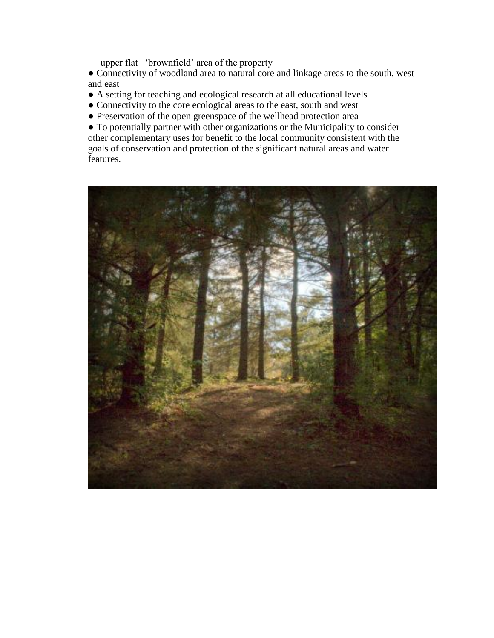upper flat 'brownfield' area of the property

• Connectivity of woodland area to natural core and linkage areas to the south, west and east

- A setting for teaching and ecological research at all educational levels
- Connectivity to the core ecological areas to the east, south and west
- Preservation of the open greenspace of the wellhead protection area

● To potentially partner with other organizations or the Municipality to consider other complementary uses for benefit to the local community consistent with the goals of conservation and protection of the significant natural areas and water features.

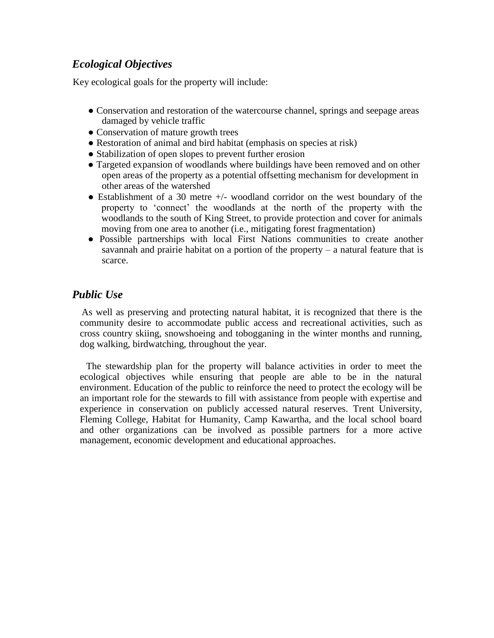# *Ecological Objectives*

Key ecological goals for the property will include:

- Conservation and restoration of the watercourse channel, springs and seepage areas damaged by vehicle traffic
- Conservation of mature growth trees
- Restoration of animal and bird habitat (emphasis on species at risk)
- Stabilization of open slopes to prevent further erosion
- Targeted expansion of woodlands where buildings have been removed and on other open areas of the property as a potential offsetting mechanism for development in other areas of the watershed
- Establishment of a 30 metre  $+/-$  woodland corridor on the west boundary of the property to 'connect' the woodlands at the north of the property with the woodlands to the south of King Street, to provide protection and cover for animals moving from one area to another (i.e., mitigating forest fragmentation)
- Possible partnerships with local First Nations communities to create another savannah and prairie habitat on a portion of the property  $-$  a natural feature that is scarce.

#### *Public Use*

As well as preserving and protecting natural habitat, it is recognized that there is the community desire to accommodate public access and recreational activities, such as cross country skiing, snowshoeing and tobogganing in the winter months and running, dog walking, birdwatching, throughout the year.

The stewardship plan for the property will balance activities in order to meet the ecological objectives while ensuring that people are able to be in the natural environment. Education of the public to reinforce the need to protect the ecology will be an important role for the stewards to fill with assistance from people with expertise and experience in conservation on publicly accessed natural reserves. Trent University, Fleming College, Habitat for Humanity, Camp Kawartha, and the local school board and other organizations can be involved as possible partners for a more active management, economic development and educational approaches.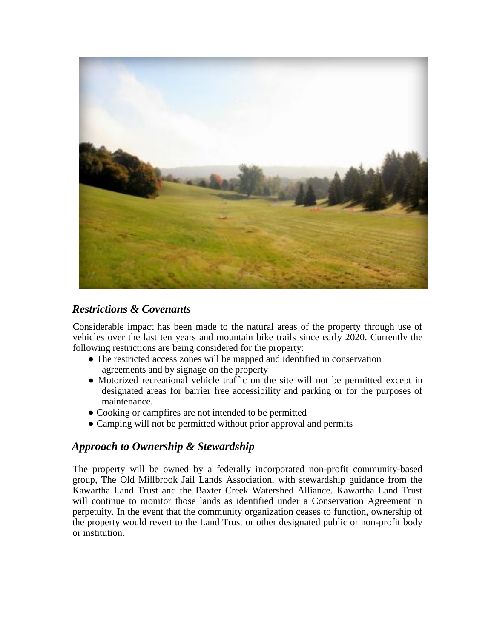

# *Restrictions & Covenants*

Considerable impact has been made to the natural areas of the property through use of vehicles over the last ten years and mountain bike trails since early 2020. Currently the following restrictions are being considered for the property:

- The restricted access zones will be mapped and identified in conservation agreements and by signage on the property
- Motorized recreational vehicle traffic on the site will not be permitted except in designated areas for barrier free accessibility and parking or for the purposes of maintenance.
- Cooking or campfires are not intended to be permitted
- Camping will not be permitted without prior approval and permits

# *Approach to Ownership & Stewardship*

The property will be owned by a federally incorporated non-profit community-based group, The Old Millbrook Jail Lands Association, with stewardship guidance from the Kawartha Land Trust and the Baxter Creek Watershed Alliance. Kawartha Land Trust will continue to monitor those lands as identified under a Conservation Agreement in perpetuity. In the event that the community organization ceases to function, ownership of the property would revert to the Land Trust or other designated public or non-profit body or institution.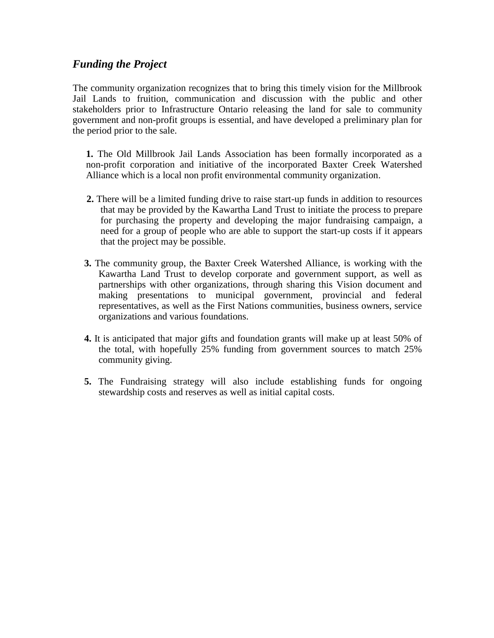#### *Funding the Project*

The community organization recognizes that to bring this timely vision for the Millbrook Jail Lands to fruition, communication and discussion with the public and other stakeholders prior to Infrastructure Ontario releasing the land for sale to community government and non-profit groups is essential, and have developed a preliminary plan for the period prior to the sale.

**1.** The Old Millbrook Jail Lands Association has been formally incorporated as a non-profit corporation and initiative of the incorporated Baxter Creek Watershed Alliance which is a local non profit environmental community organization.

- **2.** There will be a limited funding drive to raise start-up funds in addition to resources that may be provided by the Kawartha Land Trust to initiate the process to prepare for purchasing the property and developing the major fundraising campaign, a need for a group of people who are able to support the start-up costs if it appears that the project may be possible.
- **3.** The community group, the Baxter Creek Watershed Alliance, is working with the Kawartha Land Trust to develop corporate and government support, as well as partnerships with other organizations, through sharing this Vision document and making presentations to municipal government, provincial and federal representatives, as well as the First Nations communities, business owners, service organizations and various foundations.
- **4.** It is anticipated that major gifts and foundation grants will make up at least 50% of the total, with hopefully 25% funding from government sources to match 25% community giving.
- **5.** The Fundraising strategy will also include establishing funds for ongoing stewardship costs and reserves as well as initial capital costs.